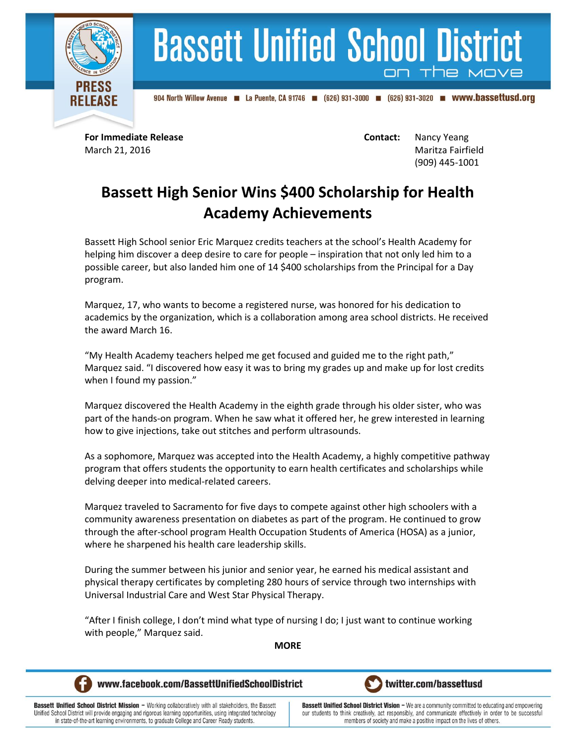

## **Bassett Unified School District**

904 North Willow Avenue 4 La Puente, CA 91746 (626) 931-3000 (626) 931-3020 **m** WWW.bassettusd.org

**For Immediate Release <b>Contact:** Nancy Yeang March 21, 2016 Maritza Fairfield (909) 445-1001

## **Bassett High Senior Wins \$400 Scholarship for Health Academy Achievements**

Bassett High School senior Eric Marquez credits teachers at the school's Health Academy for helping him discover a deep desire to care for people – inspiration that not only led him to a possible career, but also landed him one of 14 \$400 scholarships from the Principal for a Day program.

Marquez, 17, who wants to become a registered nurse, was honored for his dedication to academics by the organization, which is a collaboration among area school districts. He received the award March 16.

"My Health Academy teachers helped me get focused and guided me to the right path," Marquez said. "I discovered how easy it was to bring my grades up and make up for lost credits when I found my passion."

Marquez discovered the Health Academy in the eighth grade through his older sister, who was part of the hands-on program. When he saw what it offered her, he grew interested in learning how to give injections, take out stitches and perform ultrasounds.

As a sophomore, Marquez was accepted into the Health Academy, a highly competitive pathway program that offers students the opportunity to earn health certificates and scholarships while delving deeper into medical-related careers.

Marquez traveled to Sacramento for five days to compete against other high schoolers with a community awareness presentation on diabetes as part of the program. He continued to grow through the after-school program Health Occupation Students of America (HOSA) as a junior, where he sharpened his health care leadership skills.

During the summer between his junior and senior year, he earned his medical assistant and physical therapy certificates by completing 280 hours of service through two internships with Universal Industrial Care and West Star Physical Therapy.

"After I finish college, I don't mind what type of nursing I do; I just want to continue working with people," Marquez said.

**MORE**



www.facebook.com/BassettUnifiedSchoolDistrict



**Bassett Unified School District Mission - Working collaboratively with all stakeholders, the Bassett** Unified School District will provide engaging and rigorous learning opportunities, using integrated technology in state-of-the-art learning environments, to graduate College and Career Ready students.

**Bassett Unified School District Vision - We are a community committed to educating and empowering** our students to think creatively, act responsibly, and communicate effectively in order to be successful members of society and make a positive impact on the lives of others.